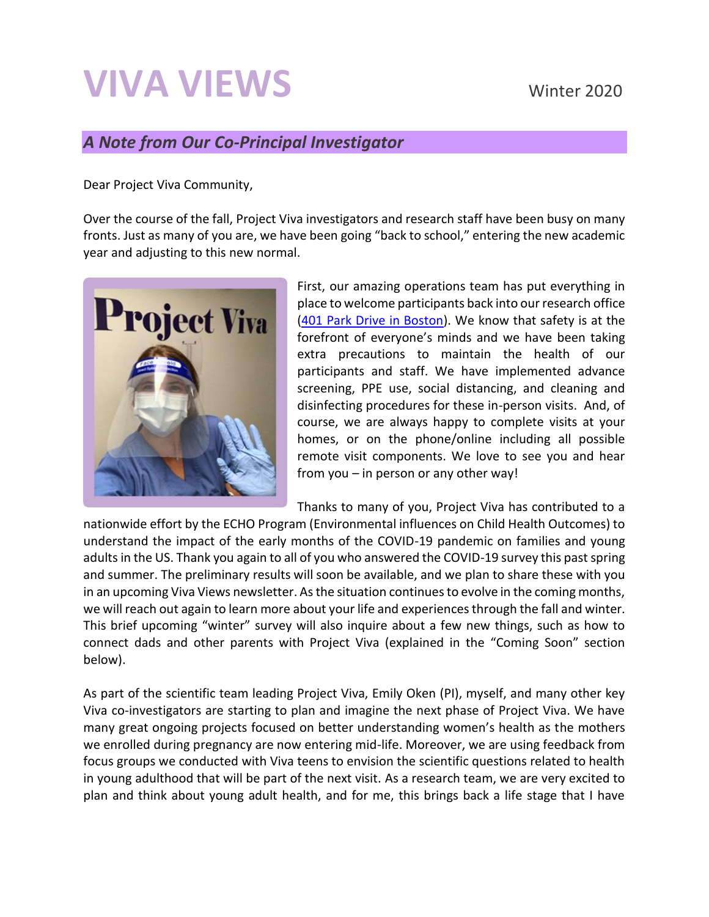# **VIVA VIEWS** Winter 2020

#### *A Note from Our Co-Principal Investigator*

Dear Project Viva Community,

Over the course of the fall, Project Viva investigators and research staff have been busy on many fronts. Just as many of you are, we have been going "back to school," entering the new academic year and adjusting to this new normal.



First, our amazing operations team has put everything in place to welcome participants back into our research office [\(401 Park Drive in Boston\)](https://www.hms.harvard.edu/viva/contact.html). We know that safety is at the forefront of everyone's minds and we have been taking extra precautions to maintain the health of our participants and staff. We have implemented advance screening, PPE use, social distancing, and cleaning and disinfecting procedures for these in-person visits. And, of course, we are always happy to complete visits at your homes, or on the phone/online including all possible remote visit components. We love to see you and hear from you – in person or any other way!

Thanks to many of you, Project Viva has contributed to a

nationwide effort by the ECHO Program (Environmental influences on Child Health Outcomes) to understand the impact of the early months of the COVID-19 pandemic on families and young adults in the US. Thank you again to all of you who answered the COVID-19 survey this past spring and summer. The preliminary results will soon be available, and we plan to share these with you in an upcoming Viva Views newsletter. As the situation continues to evolve in the coming months, we will reach out again to learn more about your life and experiences through the fall and winter. This brief upcoming "winter" survey will also inquire about a few new things, such as how to connect dads and other parents with Project Viva (explained in the "Coming Soon" section below).

As part of the scientific team leading Project Viva, Emily Oken (PI), myself, and many other key Viva co-investigators are starting to plan and imagine the next phase of Project Viva. We have many great ongoing projects focused on better understanding women's health as the mothers we enrolled during pregnancy are now entering mid-life. Moreover, we are using feedback from focus groups we conducted with Viva teens to envision the scientific questions related to health in young adulthood that will be part of the next visit. As a research team, we are very excited to plan and think about young adult health, and for me, this brings back a life stage that I have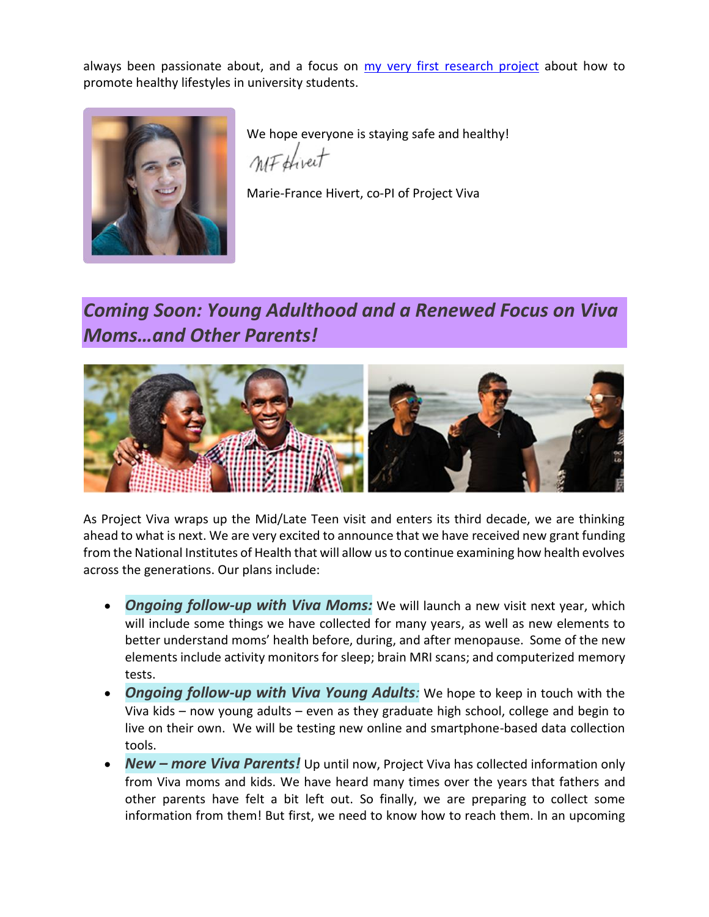always been passionate about, and a focus on [my very first research project](https://www.nature.com/articles/0803572/) about how to promote healthy lifestyles in university students.



We hope everyone is staying safe and healthy! *MF* thirect

Marie-France Hivert, co-PI of Project Viva

## *Coming Soon: Young Adulthood and a Renewed Focus on Viva Moms…and Other Parents!*



As Project Viva wraps up the Mid/Late Teen visit and enters its third decade, we are thinking ahead to what is next. We are very excited to announce that we have received new grant funding from the National Institutes of Health that will allow us to continue examining how health evolves across the generations. Our plans include:

- **Ongoing follow-up with Viva Moms:** We will launch a new visit next year, which will include some things we have collected for many years, as well as new elements to better understand moms' health before, during, and after menopause. Some of the new elements include activity monitors for sleep; brain MRI scans; and computerized memory tests.
- *Ongoing follow-up with Viva Young Adults:* We hope to keep in touch with the Viva kids – now young adults – even as they graduate high school, college and begin to live on their own. We will be testing new online and smartphone-based data collection tools.
- *New – more Viva Parents!* Up until now, Project Viva has collected information only from Viva moms and kids. We have heard many times over the years that fathers and other parents have felt a bit left out. So finally, we are preparing to collect some information from them! But first, we need to know how to reach them. In an upcoming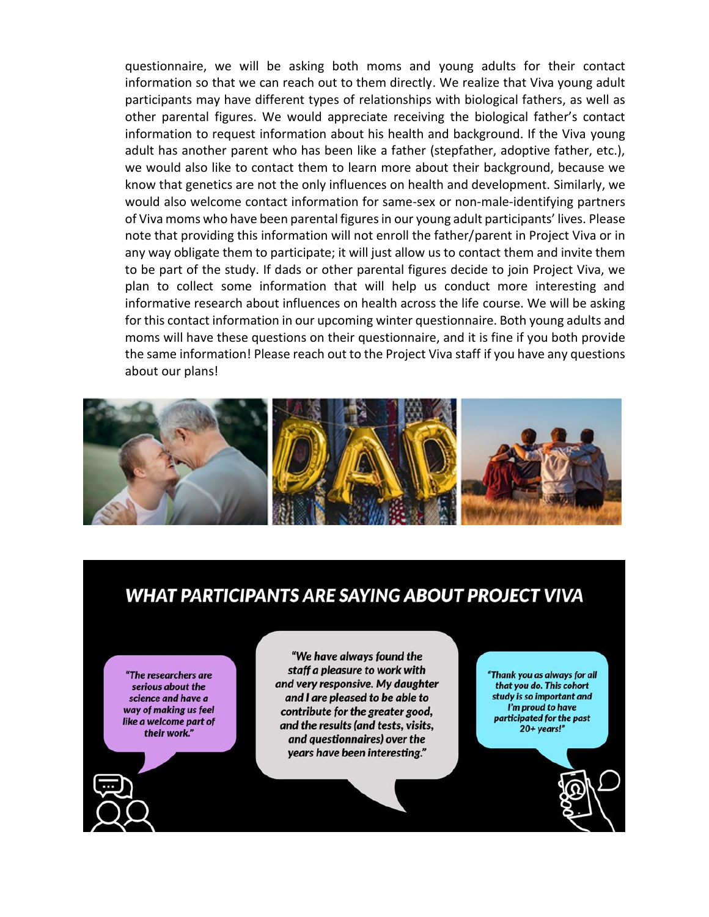questionnaire, we will be asking both moms and young adults for their contact information so that we can reach out to them directly. We realize that Viva young adult participants may have different types of relationships with biological fathers, as well as other parental figures. We would appreciate receiving the biological father's contact information to request information about his health and background. If the Viva young adult has another parent who has been like a father (stepfather, adoptive father, etc.), we would also like to contact them to learn more about their background, because we know that genetics are not the only influences on health and development. Similarly, we would also welcome contact information for same-sex or non-male-identifying partners of Viva moms who have been parental figures in our young adult participants' lives. Please note that providing this information will not enroll the father/parent in Project Viva or in any way obligate them to participate; it will just allow us to contact them and invite them to be part of the study. If dads or other parental figures decide to join Project Viva, we plan to collect some information that will help us conduct more interesting and informative research about influences on health across the life course. We will be asking for this contact information in our upcoming winter questionnaire. Both young adults and moms will have these questions on their questionnaire, and it is fine if you both provide the same information! Please reach out to the Project Viva staff if you have any questions about our plans!



#### **WHAT PARTICIPANTS ARE SAYING ABOUT PROJECT VIVA**

"The researchers are serious about the science and have a way of making us feel like a welcome part of their work."

"We have always found the staff a pleasure to work with and very responsive. My daughter and I are pleased to be able to contribute for the greater good, and the results (and tests, visits, and questionnaires) over the years have been interesting."

"Thank you as always for all that you do. This cohort study is so important and I'm proud to have participated for the past 20+ years!"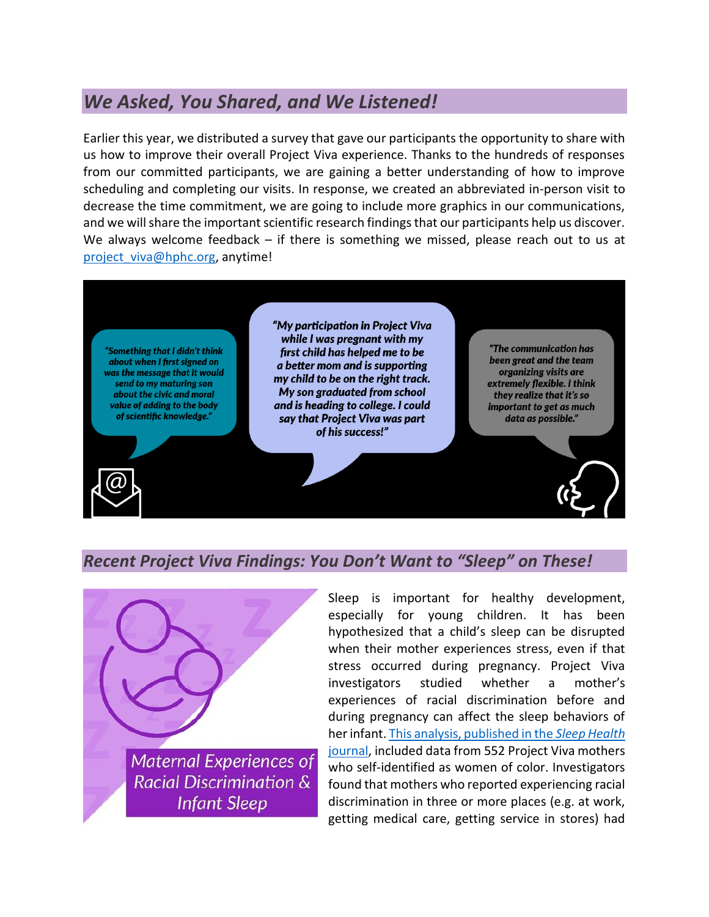### *We Asked, You Shared, and We Listened!*

Earlier this year, we distributed a survey that gave our participants the opportunity to share with us how to improve their overall Project Viva experience. Thanks to the hundreds of responses from our committed participants, we are gaining a better understanding of how to improve scheduling and completing our visits. In response, we created an abbreviated in-person visit to decrease the time commitment, we are going to include more graphics in our communications, and we will share the important scientific research findings that our participants help us discover. We always welcome feedback  $-$  if there is something we missed, please reach out to us at [project\\_viva@hphc.org,](mailto:project_viva@hphc.org) anytime!



#### *Recent Project Viva Findings: You Don't Want to "Sleep" on These!*



Sleep is important for healthy development, especially for young children. It has been hypothesized that a child's sleep can be disrupted when their mother experiences stress, even if that stress occurred during pregnancy. Project Viva investigators studied whether a mother's experiences of racial discrimination before and during pregnancy can affect the sleep behaviors of her infant[. This analysis, published in the](https://www.sciencedirect.com/science/article/pii/S235272182030067X) *Sleep Health*  [journal,](https://www.sciencedirect.com/science/article/pii/S235272182030067X) included data from 552 Project Viva mothers who self-identified as women of color. Investigators found that mothers who reported experiencing racial discrimination in three or more places (e.g. at work, getting medical care, getting service in stores) had